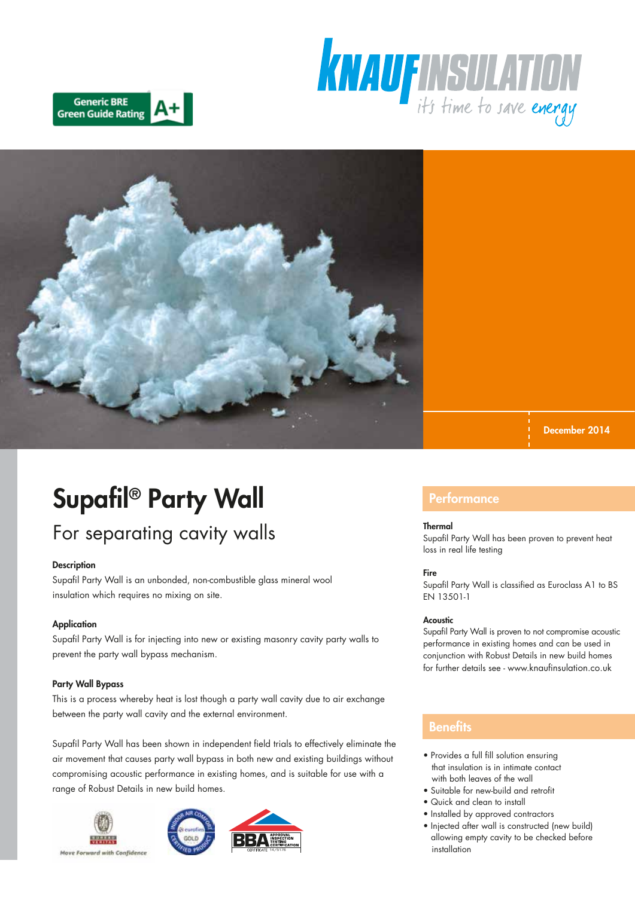





December 2014

# Supafil® Party Wall

## For separating cavity walls

### **Description**

Supafil Party Wall is an unbonded, non-combustible glass mineral wool insulation which requires no mixing on site.

### **Application**

Supafil Party Wall is for injecting into new or existing masonry cavity party walls to prevent the party wall bypass mechanism.

### Party Wall Bypass

This is a process whereby heat is lost though a party wall cavity due to air exchange between the party wall cavity and the external environment.

Supafil Party Wall has been shown in independent field trials to effectively eliminate the air movement that causes party wall bypass in both new and existing buildings without compromising acoustic performance in existing homes, and is suitable for use with a range of Robust Details in new build homes.







### **Performance**

#### **Thermal**

Supafil Party Wall has been proven to prevent heat loss in real life testing

### Fire

Supafil Party Wall is classified as Euroclass A1 to BS EN 13501-1

#### Acoustic

Supafil Party Wall is proven to not compromise acoustic performance in existing homes and can be used in conjunction with Robust Details in new build homes for further details see - www.knaufinsulation.co.uk

### **Benefits**

- Provides a full fill solution ensuring that insulation is in intimate contact with both leaves of the wall
- Suitable for new-build and retrofit
- Quick and clean to install
- Installed by approved contractors
- Injected after wall is constructed (new build) allowing empty cavity to be checked before installation

Move Forward with Confidence